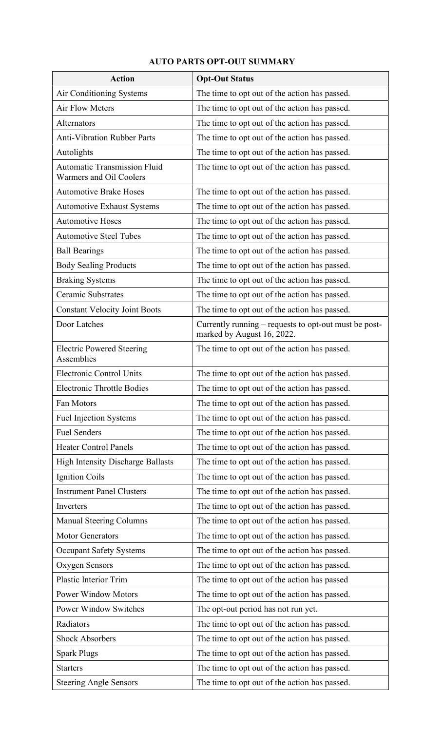## AUTO PARTS OPT-OUT SUMMARY

| <b>Action</b>                                                  | <b>Opt-Out Status</b>                                                               |
|----------------------------------------------------------------|-------------------------------------------------------------------------------------|
| Air Conditioning Systems                                       | The time to opt out of the action has passed.                                       |
| <b>Air Flow Meters</b>                                         | The time to opt out of the action has passed.                                       |
| Alternators                                                    | The time to opt out of the action has passed.                                       |
| <b>Anti-Vibration Rubber Parts</b>                             | The time to opt out of the action has passed.                                       |
| Autolights                                                     | The time to opt out of the action has passed.                                       |
| <b>Automatic Transmission Fluid</b><br>Warmers and Oil Coolers | The time to opt out of the action has passed.                                       |
| <b>Automotive Brake Hoses</b>                                  | The time to opt out of the action has passed.                                       |
| <b>Automotive Exhaust Systems</b>                              | The time to opt out of the action has passed.                                       |
| <b>Automotive Hoses</b>                                        | The time to opt out of the action has passed.                                       |
| <b>Automotive Steel Tubes</b>                                  | The time to opt out of the action has passed.                                       |
| <b>Ball Bearings</b>                                           | The time to opt out of the action has passed.                                       |
| <b>Body Sealing Products</b>                                   | The time to opt out of the action has passed.                                       |
| <b>Braking Systems</b>                                         | The time to opt out of the action has passed.                                       |
| <b>Ceramic Substrates</b>                                      | The time to opt out of the action has passed.                                       |
| <b>Constant Velocity Joint Boots</b>                           | The time to opt out of the action has passed.                                       |
| Door Latches                                                   | Currently running – requests to opt-out must be post-<br>marked by August 16, 2022. |
| <b>Electric Powered Steering</b><br>Assemblies                 | The time to opt out of the action has passed.                                       |
| <b>Electronic Control Units</b>                                | The time to opt out of the action has passed.                                       |
| <b>Electronic Throttle Bodies</b>                              | The time to opt out of the action has passed.                                       |
| Fan Motors                                                     | The time to opt out of the action has passed.                                       |
| <b>Fuel Injection Systems</b>                                  | The time to opt out of the action has passed.                                       |
| <b>Fuel Senders</b>                                            | The time to opt out of the action has passed.                                       |
| <b>Heater Control Panels</b>                                   | The time to opt out of the action has passed.                                       |
| High Intensity Discharge Ballasts                              | The time to opt out of the action has passed.                                       |
| <b>Ignition Coils</b>                                          | The time to opt out of the action has passed.                                       |
| <b>Instrument Panel Clusters</b>                               | The time to opt out of the action has passed.                                       |
| Inverters                                                      | The time to opt out of the action has passed.                                       |
| <b>Manual Steering Columns</b>                                 | The time to opt out of the action has passed.                                       |
| <b>Motor Generators</b>                                        | The time to opt out of the action has passed.                                       |
| <b>Occupant Safety Systems</b>                                 | The time to opt out of the action has passed.                                       |
| <b>Oxygen Sensors</b>                                          | The time to opt out of the action has passed.                                       |
| <b>Plastic Interior Trim</b>                                   | The time to opt out of the action has passed                                        |
| <b>Power Window Motors</b>                                     | The time to opt out of the action has passed.                                       |
| Power Window Switches                                          | The opt-out period has not run yet.                                                 |
| Radiators                                                      | The time to opt out of the action has passed.                                       |
| <b>Shock Absorbers</b>                                         | The time to opt out of the action has passed.                                       |
| <b>Spark Plugs</b>                                             | The time to opt out of the action has passed.                                       |
| <b>Starters</b>                                                | The time to opt out of the action has passed.                                       |
| <b>Steering Angle Sensors</b>                                  | The time to opt out of the action has passed.                                       |